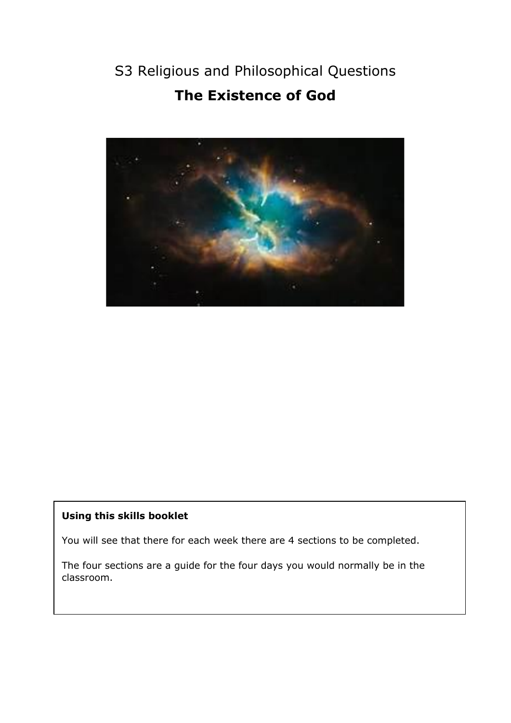# S3 Religious and Philosophical Questions **The Existence of God**



# **Using this skills booklet**

You will see that there for each week there are 4 sections to be completed.

The four sections are a guide for the four days you would normally be in the classroom.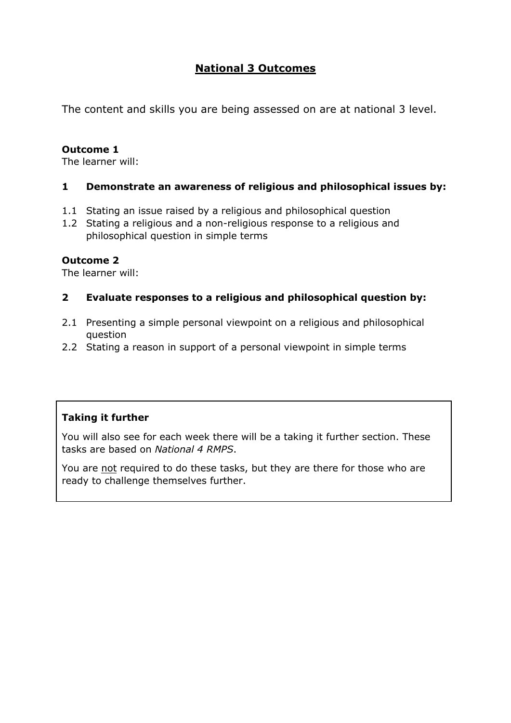# **National 3 Outcomes**

The content and skills you are being assessed on are at national 3 level.

# **Outcome 1**

The learner will:

# **1 Demonstrate an awareness of religious and philosophical issues by:**

- 1.1 Stating an issue raised by a religious and philosophical question
- 1.2 Stating a religious and a non-religious response to a religious and philosophical question in simple terms

### **Outcome 2**

The learner will:

### **2 Evaluate responses to a religious and philosophical question by:**

- 2.1 Presenting a simple personal viewpoint on a religious and philosophical question
- 2.2 Stating a reason in support of a personal viewpoint in simple terms

# **Taking it further**

You will also see for each week there will be a taking it further section. These tasks are based on *National 4 RMPS*.

You are not required to do these tasks, but they are there for those who are ready to challenge themselves further.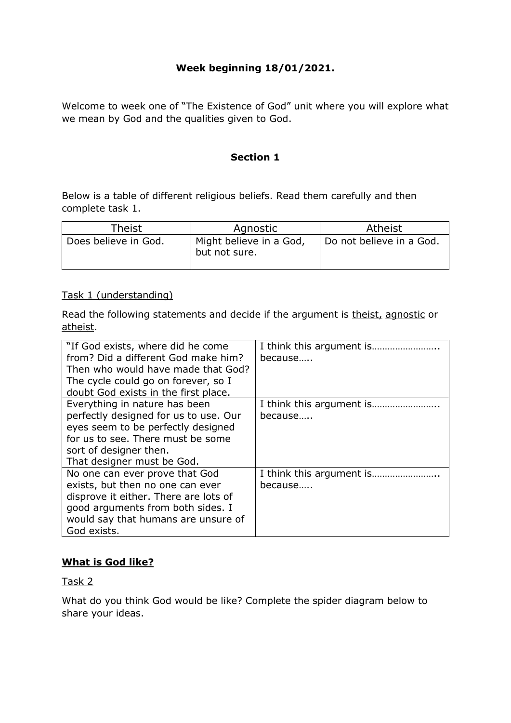# **Week beginning 18/01/2021.**

Welcome to week one of "The Existence of God" unit where you will explore what we mean by God and the qualities given to God.

#### **Section 1**

Below is a table of different religious beliefs. Read them carefully and then complete task 1.

| Theist               | Agnostic                                 | Atheist                  |
|----------------------|------------------------------------------|--------------------------|
| Does believe in God. | Might believe in a God,<br>but not sure. | Do not believe in a God. |

#### Task 1 (understanding)

Read the following statements and decide if the argument is theist, agnostic or atheist.

| because |
|---------|
| because |
|         |
|         |
|         |
| because |
|         |
|         |
|         |
|         |

### **What is God like?**

Task 2

What do you think God would be like? Complete the spider diagram below to share your ideas.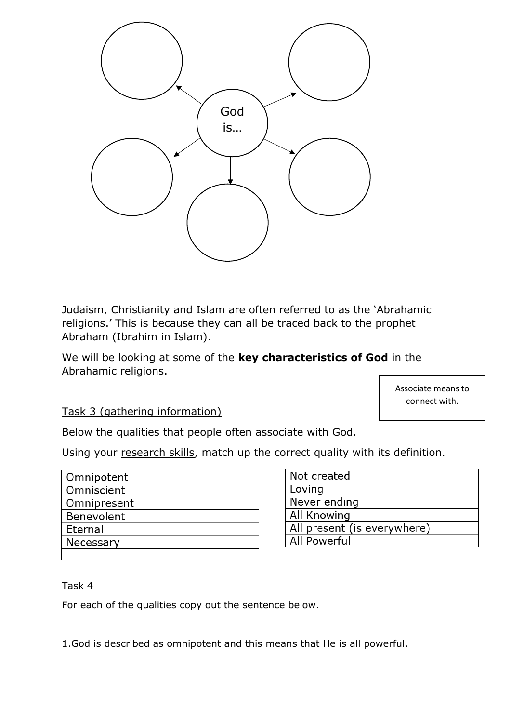

Judaism, Christianity and Islam are often referred to as the 'Abrahamic religions.' This is because they can all be traced back to the prophet Abraham (Ibrahim in Islam).

We will be looking at some of the **key characteristics of God** in the Abrahamic religions.

> Associate means to connect with.

Task 3 (gathering information)

Below the qualities that people often associate with God.

Using your research skills, match up the correct quality with its definition.

| Omnipotent  |
|-------------|
| Omniscient  |
| Omnipresent |
| Benevolent  |
| Eternal     |
| Necessary   |

| Not created                 |
|-----------------------------|
| Loving                      |
| Never ending                |
| All Knowing                 |
| All present (is everywhere) |
| <b>All Powerful</b>         |

# Task 4

For each of the qualities copy out the sentence below.

1.God is described as omnipotent and this means that He is all powerful.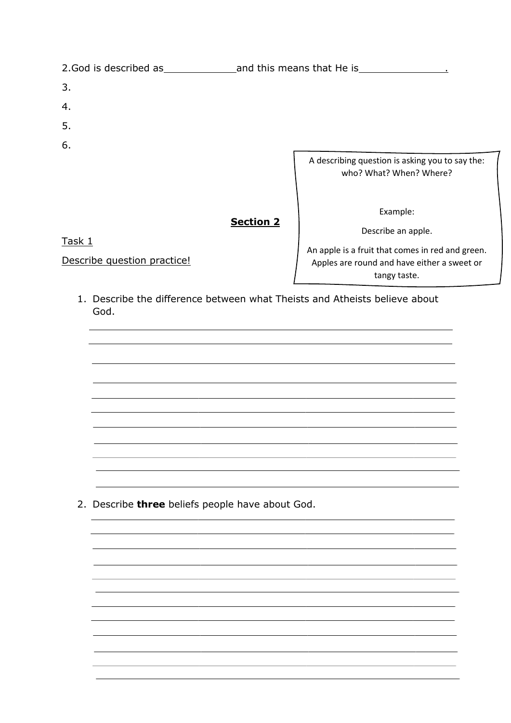| 2. God is described as      | and this means that He is |                                                                            |  |
|-----------------------------|---------------------------|----------------------------------------------------------------------------|--|
| 3.                          |                           |                                                                            |  |
| 4.                          |                           |                                                                            |  |
| 5.                          |                           |                                                                            |  |
| 6.                          |                           |                                                                            |  |
|                             |                           | A describing question is asking you to say the:<br>who? What? When? Where? |  |
|                             | <b>Section 2</b>          | Example:<br>Describe an apple.                                             |  |
| Task 1                      |                           | An apple is a fruit that comes in red and green.                           |  |
| Describe question practice! |                           | Apples are round and have either a sweet or                                |  |

tangy taste.

1. Describe the difference between what Theists and Atheists believe about God.

2. Describe **three** beliefs people have about God.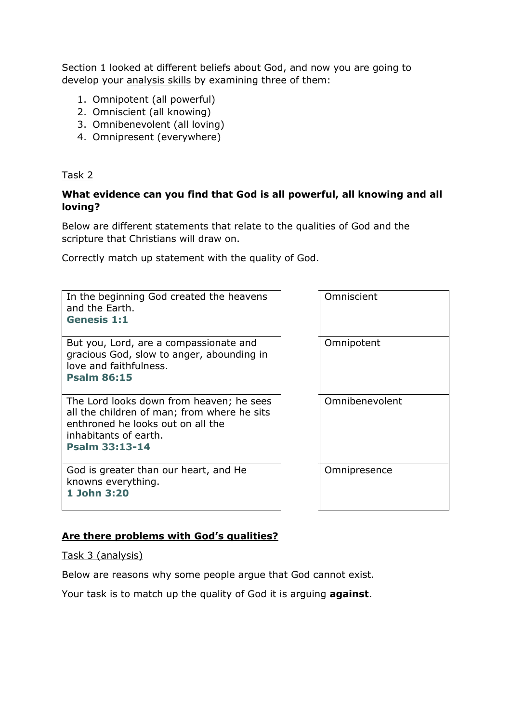Section 1 looked at different beliefs about God, and now you are going to develop your analysis skills by examining three of them:

- 1. Omnipotent (all powerful)
- 2. Omniscient (all knowing)
- 3. Omnibenevolent (all loving)
- 4. Omnipresent (everywhere)

### Task 2

### **What evidence can you find that God is all powerful, all knowing and all loving?**

Below are different statements that relate to the qualities of God and the scripture that Christians will draw on.

Correctly match up statement with the quality of God.

| In the beginning God created the heavens<br>and the Earth.<br><b>Genesis 1:1</b>                                                                                               | Omniscient     |
|--------------------------------------------------------------------------------------------------------------------------------------------------------------------------------|----------------|
| But you, Lord, are a compassionate and<br>gracious God, slow to anger, abounding in<br>love and faithfulness.<br><b>Psalm 86:15</b>                                            | Omnipotent     |
| The Lord looks down from heaven; he sees<br>all the children of man; from where he sits<br>enthroned he looks out on all the<br>inhabitants of earth.<br><b>Psalm 33:13-14</b> | Omnibenevolent |
| God is greater than our heart, and He<br>knowns everything.<br>1 John 3:20                                                                                                     | Omnipresence   |

### **Are there problems with God's qualities?**

Task 3 (analysis)

Below are reasons why some people argue that God cannot exist.

Your task is to match up the quality of God it is arguing **against**.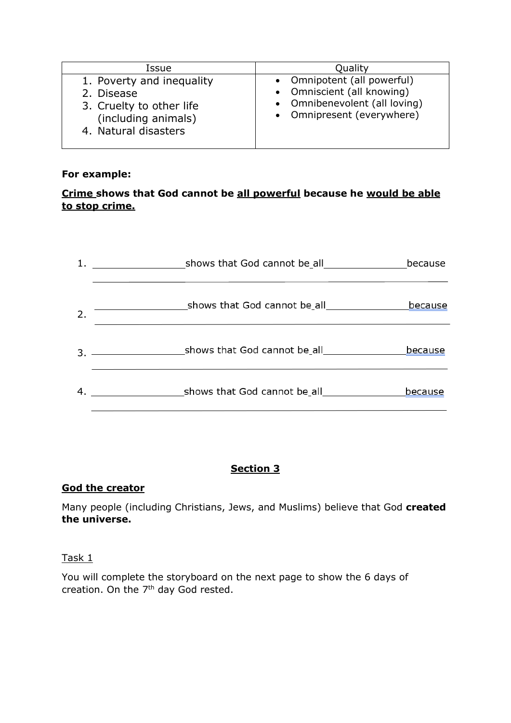| Issue                                                                                                              | Quality                                                                                                                  |
|--------------------------------------------------------------------------------------------------------------------|--------------------------------------------------------------------------------------------------------------------------|
| 1. Poverty and inequality<br>2. Disease<br>3. Cruelty to other life<br>(including animals)<br>4. Natural disasters | • Omnipotent (all powerful)<br>• Omniscient (all knowing)<br>• Omnibenevolent (all loving)<br>• Omnipresent (everywhere) |

### **For example:**

# **Crime shows that God cannot be all powerful because he would be able to stop crime.**

|                  |               | because |
|------------------|---------------|---------|
| $\overline{2}$ . |               | because |
|                  |               | because |
|                  | $\mathbf{4.}$ | because |

# **Section 3**

# **God the creator**

Many people (including Christians, Jews, and Muslims) believe that God **created the universe.** 

### Task 1

You will complete the storyboard on the next page to show the 6 days of creation. On the  $7<sup>th</sup>$  day God rested.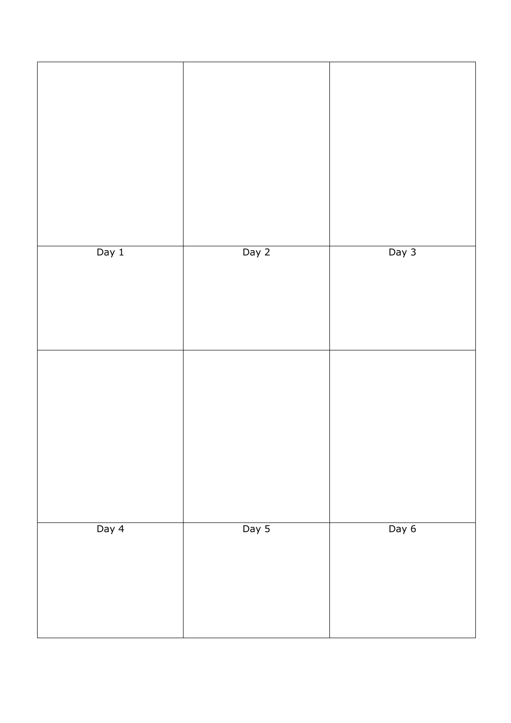| Day $1$ | Day 2 | Day 3 |
|---------|-------|-------|
|         |       |       |
|         |       |       |
|         |       |       |
| Day 4   | Day 5 | Day 6 |
|         |       |       |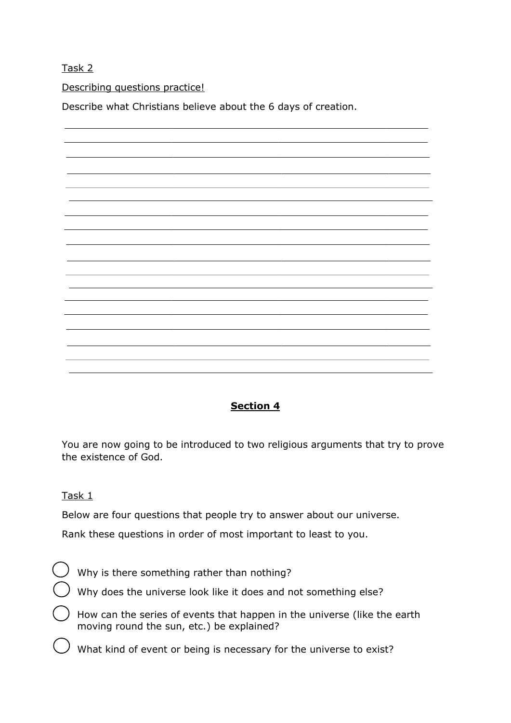Task 2

Describing questions practice!

Describe what Christians believe about the 6 days of creation.



# **Section 4**

You are now going to be introduced to two religious arguments that try to prove the existence of God.

Task 1

Below are four questions that people try to answer about our universe.

Rank these questions in order of most important to least to you.

Why is there something rather than nothing?

Why does the universe look like it does and not something else?

How can the series of events that happen in the universe (like the earth moving round the sun, etc.) be explained?

What kind of event or being is necessary for the universe to exist?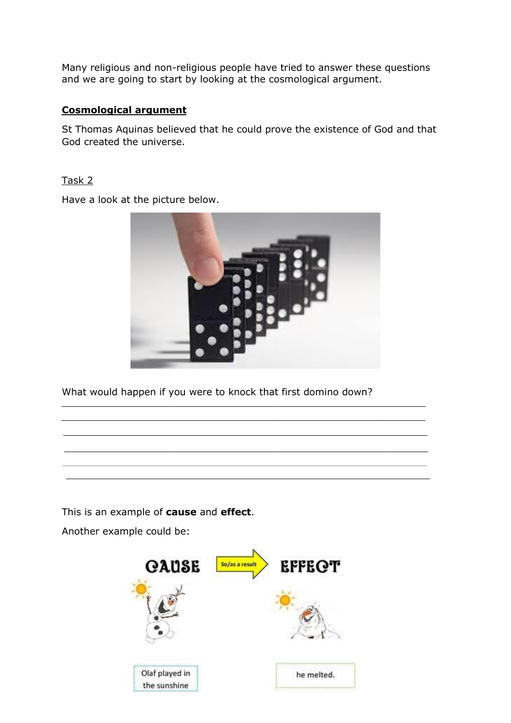Many religious and non-religious people have tried to answer these questions and we are going to start by looking at the cosmological argument.

### **Cosmological argument**

St Thomas Aquinas believed that he could prove the existence of God and that God created the universe.

### Task 2

Have a look at the picture below.



What would happen if you were to knock that first domino down?

This is an example of **cause** and **effect**.

Another example could be:

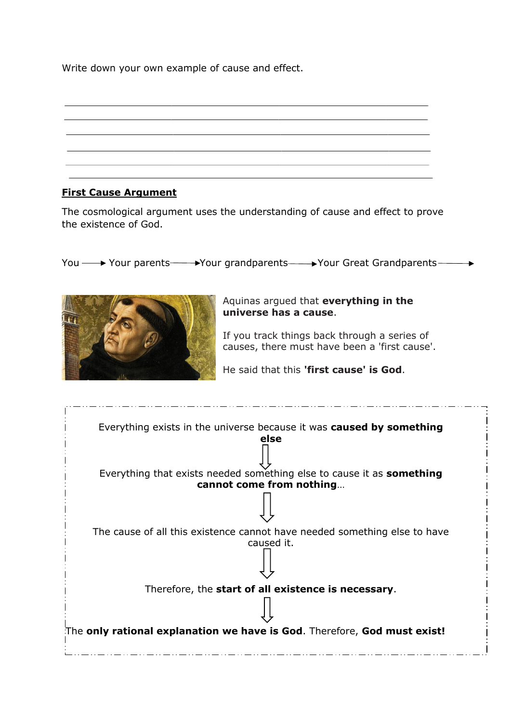Write down your own example of cause and effect.

# **First Cause Argument**

The cosmological argument uses the understanding of cause and effect to prove the existence of God.

You  $\longrightarrow$  Your parents  $\longrightarrow$  Your grandparents  $\longrightarrow$  Your Great Grandparents  $\longrightarrow$ 



Aquinas argued that **everything in the universe has a cause**.

If you track things back through a series of causes, there must have been a 'first cause'.

He said that this **'first cause' is God**.

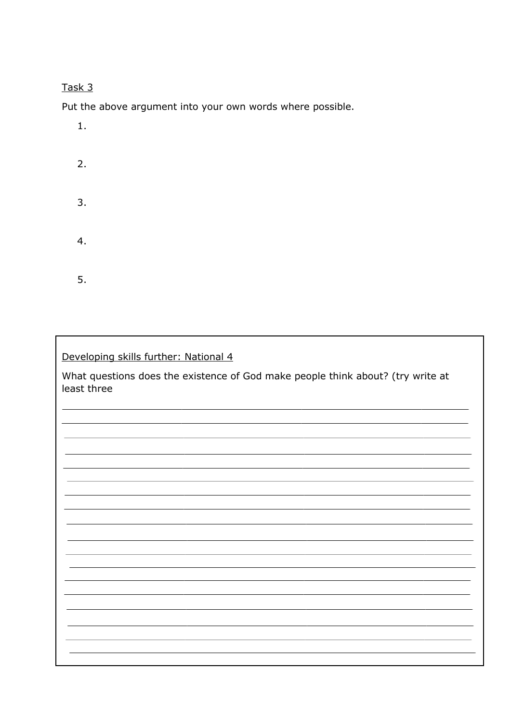# Task 3

Put the above argument into your own words where possible.

| $1.$ |  |  |  |
|------|--|--|--|
| 2.   |  |  |  |
| 3.   |  |  |  |
| 4.   |  |  |  |
| 5.   |  |  |  |

# Developing skills further: National 4

What questions does the existence of God make people think about? (try write at least three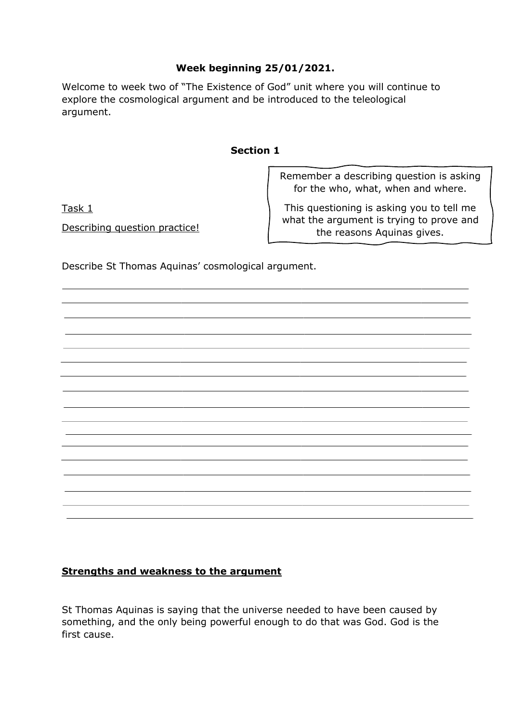# **Week beginning 25/01/2021.**

Welcome to week two of "The Existence of God" unit where you will continue to explore the cosmological argument and be introduced to the teleological argument.

### **Section 1**

Remember a describing question is asking for the who, what, when and where.

Task 1

Describing question practice!

This questioning is asking you to tell me what the argument is trying to prove and the reasons Aquinas gives.

Describe St Thomas Aquinas' cosmological argument.

# **Strengths and weakness to the argument**

St Thomas Aquinas is saying that the universe needed to have been caused by something, and the only being powerful enough to do that was God. God is the first cause.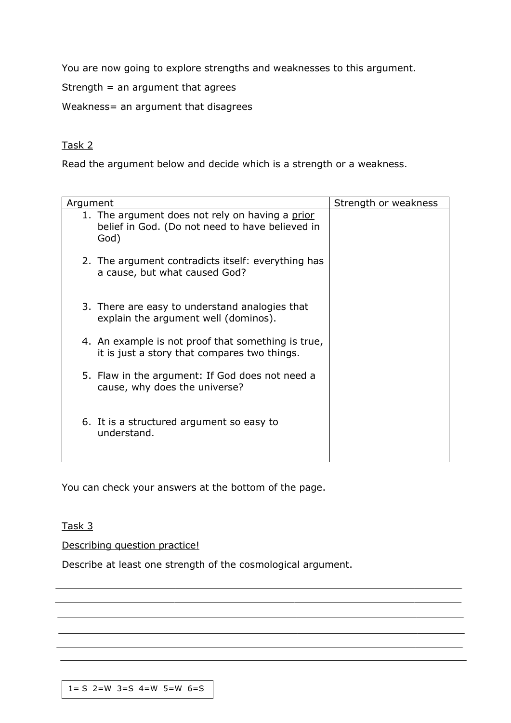You are now going to explore strengths and weaknesses to this argument.

Strength  $=$  an argument that agrees

Weakness= an argument that disagrees

### Task 2

Read the argument below and decide which is a strength or a weakness.

| Argument                                                                                                   | Strength or weakness |
|------------------------------------------------------------------------------------------------------------|----------------------|
| 1. The argument does not rely on having a prior<br>belief in God. (Do not need to have believed in<br>God) |                      |
| 2. The argument contradicts itself: everything has<br>a cause, but what caused God?                        |                      |
| 3. There are easy to understand analogies that<br>explain the argument well (dominos).                     |                      |
| 4. An example is not proof that something is true,<br>it is just a story that compares two things.         |                      |
| 5. Flaw in the argument: If God does not need a<br>cause, why does the universe?                           |                      |
| 6. It is a structured argument so easy to<br>understand.                                                   |                      |

You can check your answers at the bottom of the page.

### Task 3

Describing question practice!

Describe at least one strength of the cosmological argument.

 $1= S$  2=W 3=S 4=W 5=W 6=S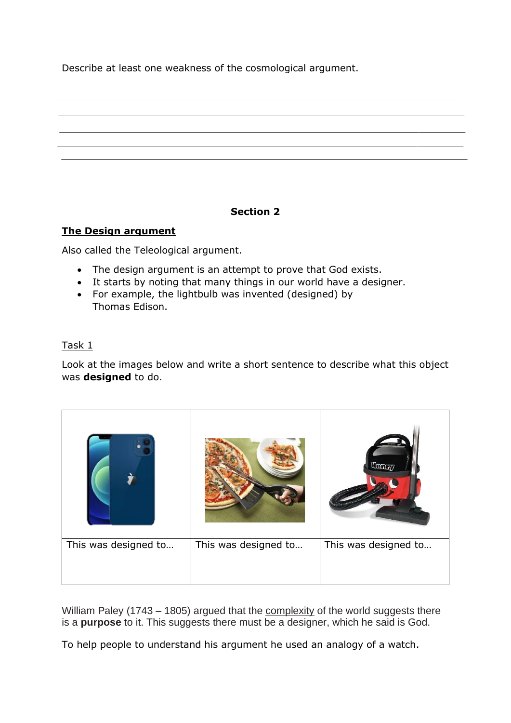Describe at least one weakness of the cosmological argument.

# **Section 2**

# **The Design argument**

Also called the Teleological argument.

- The design argument is an attempt to prove that God exists.
- It starts by noting that many things in our world have a designer.
- For example, the lightbulb was invented (designed) by Thomas Edison.

# Task 1

Look at the images below and write a short sentence to describe what this object was **designed** to do.

|                      |                      | Henry                |
|----------------------|----------------------|----------------------|
| This was designed to | This was designed to | This was designed to |

William Paley (1743 – 1805) argued that the complexity of the world suggests there is a **purpose** to it. This suggests there must be a designer, which he said is God.

To help people to understand his argument he used an analogy of a watch.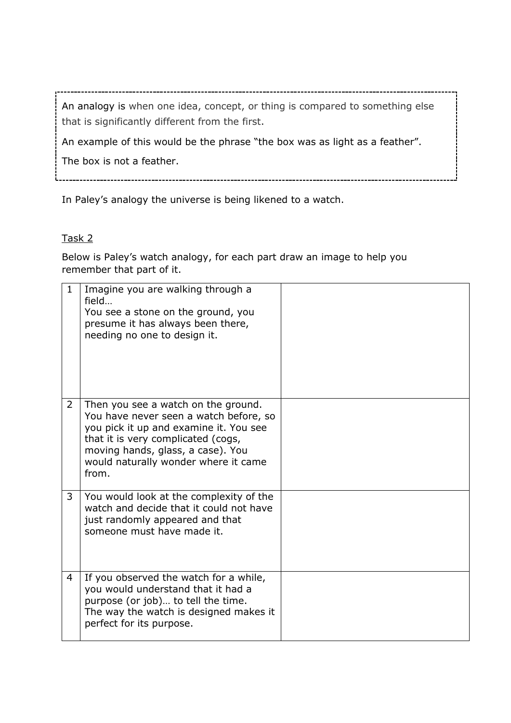An analogy is when one idea, concept, or thing is compared to something else that is significantly different from the first.

\_\_\_\_\_\_\_\_\_\_\_\_\_\_\_\_\_\_\_\_\_\_\_\_\_\_\_\_\_\_\_\_\_\_\_\_

An example of this would be the phrase "the box was as light as a feather".

The box is not a feather.

In Paley's analogy the universe is being likened to a watch.

# Task 2

Below is Paley's watch analogy, for each part draw an image to help you remember that part of it.

| $\mathbf{1}$   | Imagine you are walking through a<br>field<br>You see a stone on the ground, you<br>presume it has always been there,<br>needing no one to design it.                                                                                               |  |
|----------------|-----------------------------------------------------------------------------------------------------------------------------------------------------------------------------------------------------------------------------------------------------|--|
| $\overline{2}$ | Then you see a watch on the ground.<br>You have never seen a watch before, so<br>you pick it up and examine it. You see<br>that it is very complicated (cogs,<br>moving hands, glass, a case). You<br>would naturally wonder where it came<br>from. |  |
| 3              | You would look at the complexity of the<br>watch and decide that it could not have<br>just randomly appeared and that<br>someone must have made it.                                                                                                 |  |
| 4              | If you observed the watch for a while,<br>you would understand that it had a<br>purpose (or job) to tell the time.<br>The way the watch is designed makes it<br>perfect for its purpose.                                                            |  |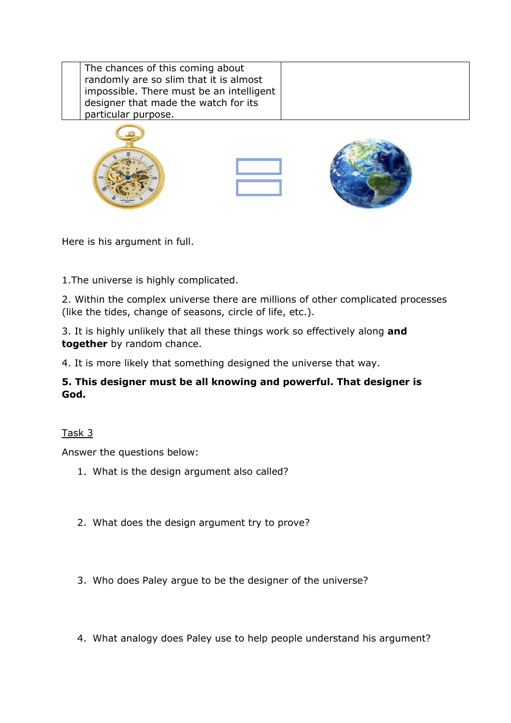| The chances of this coming about<br>randomly are so slim that it is almost<br>impossible. There must be an intelligent<br>designer that made the watch for its<br>particular purpose. |  |
|---------------------------------------------------------------------------------------------------------------------------------------------------------------------------------------|--|
|                                                                                                                                                                                       |  |

Here is his argument in full.

1.The universe is highly complicated.

2. Within the complex universe there are millions of other complicated processes (like the tides, change of seasons, circle of life, etc.).

3. It is highly unlikely that all these things work so effectively along **and together** by random chance.

4. It is more likely that something designed the universe that way.

# **5. This designer must be all knowing and powerful. That designer is God.**

# Task 3

Answer the questions below:

- 1. What is the design argument also called?
- 2. What does the design argument try to prove?
- 3. Who does Paley argue to be the designer of the universe?
- 4. What analogy does Paley use to help people understand his argument?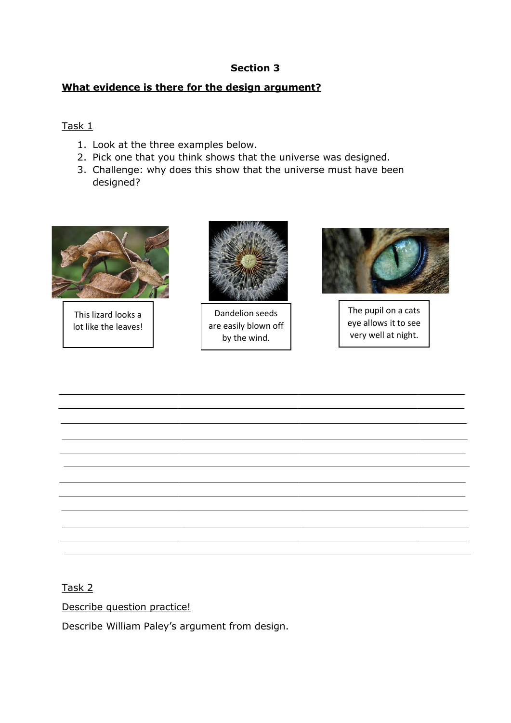### **Section 3**

### **What evidence is there for the design argument?**

### Task 1

- 1. Look at the three examples below.
- 2. Pick one that you think shows that the universe was designed.
- 3. Challenge: why does this show that the universe must have been designed?



This lizard looks a lot like the leaves!



Dandelion seeds are easily blown off by the wind.



The pupil on a cats eye allows it to see very well at night.

### Task 2

Describe question practice!

Describe William Paley's argument from design.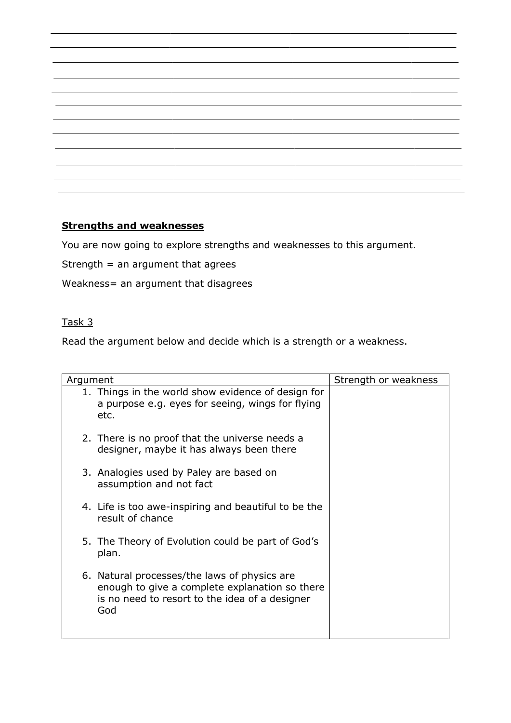|                                                                                  | ,他们也不能在这里的时候,他们的人们都不能在这里,他们的人们都不能在这里,他们的人们都不能在这里,他们的人们就是一个人的人,他们的人们就是一个人的人,他们的人们 |  |
|----------------------------------------------------------------------------------|----------------------------------------------------------------------------------|--|
|                                                                                  |                                                                                  |  |
|                                                                                  |                                                                                  |  |
|                                                                                  |                                                                                  |  |
|                                                                                  |                                                                                  |  |
|                                                                                  |                                                                                  |  |
|                                                                                  |                                                                                  |  |
|                                                                                  |                                                                                  |  |
|                                                                                  |                                                                                  |  |
| ,我们也不会有什么?""我们的人,我们也不会有什么?""我们的人,我们也不会有什么?""我们的人,我们也不会有什么?""我们的人,我们也不会有什么?""我们的人 |                                                                                  |  |
|                                                                                  |                                                                                  |  |

# **Strengths and weaknesses**

You are now going to explore strengths and weaknesses to this argument.

Strength  $=$  an argument that agrees

Weakness= an argument that disagrees

# Task 3

Read the argument below and decide which is a strength or a weakness.

| Strength or weakness<br>Argument                                                                                                                        |  |  |  |
|---------------------------------------------------------------------------------------------------------------------------------------------------------|--|--|--|
| 1. Things in the world show evidence of design for<br>a purpose e.g. eyes for seeing, wings for flying<br>etc.                                          |  |  |  |
| 2. There is no proof that the universe needs a<br>designer, maybe it has always been there                                                              |  |  |  |
| 3. Analogies used by Paley are based on<br>assumption and not fact                                                                                      |  |  |  |
| 4. Life is too awe-inspiring and beautiful to be the<br>result of chance                                                                                |  |  |  |
| 5. The Theory of Evolution could be part of God's<br>plan.                                                                                              |  |  |  |
| 6. Natural processes/the laws of physics are<br>enough to give a complete explanation so there<br>is no need to resort to the idea of a designer<br>God |  |  |  |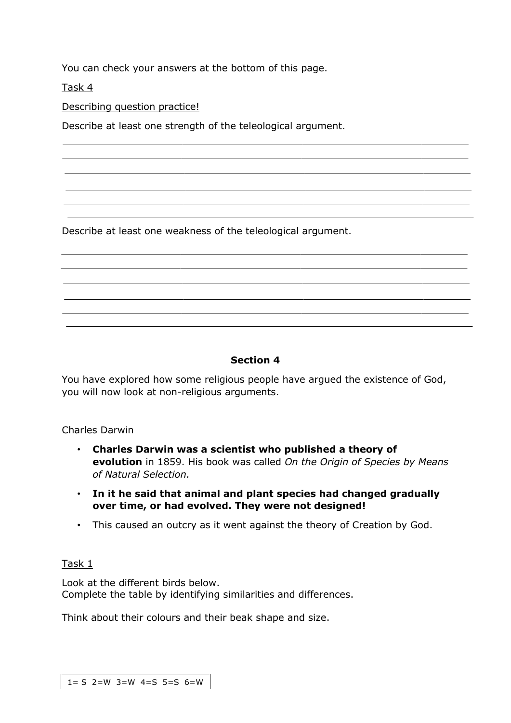You can check your answers at the bottom of this page.

Task 4

Describing question practice!

Describe at least one strength of the teleological argument.

Describe at least one weakness of the teleological argument.

#### **Section 4**

You have explored how some religious people have argued the existence of God, you will now look at non-religious arguments.

#### Charles Darwin

- **Charles Darwin was a scientist who published a theory of evolution** in 1859. His book was called *On the Origin of Species by Means of Natural Selection.*
- **In it he said that animal and plant species had changed gradually over time, or had evolved. They were not designed!**
- This caused an outcry as it went against the theory of Creation by God.

### Task 1

Look at the different birds below. Complete the table by identifying similarities and differences.

Think about their colours and their beak shape and size.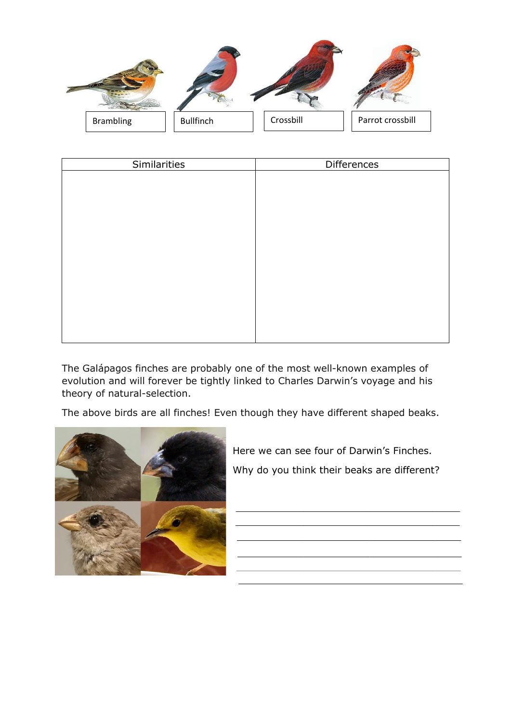

| Differences |
|-------------|
|             |
|             |
|             |
|             |
|             |
|             |
|             |
|             |
|             |
|             |
|             |
|             |
|             |
|             |

The Galápagos finches are probably one of the most well-known examples of evolution and will forever be tightly linked to Charles Darwin's voyage and his theory of natural-selection.

The above birds are all finches! Even though they have different shaped beaks.



Here we can see four of Darwin's Finches. Why do you think their beaks are different?